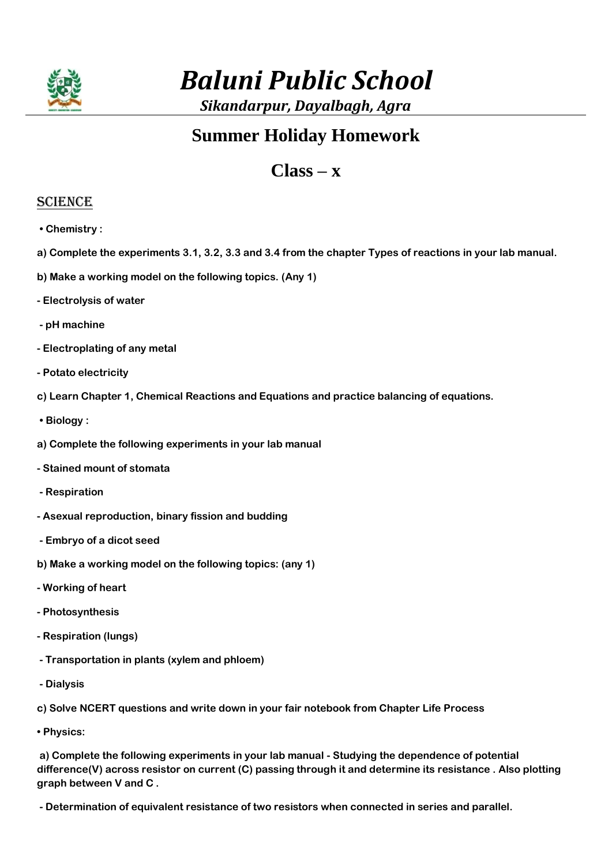

# *Baluni Public School*

*Sikandarpur, Dayalbagh, Agra*

## **Summer Holiday Homework**

### **Class – x**

#### **SCIENCE**

- **Chemistry :**
- **a) Complete the experiments 3.1, 3.2, 3.3 and 3.4 from the chapter Types of reactions in your lab manual.**
- **b) Make a working model on the following topics. (Any 1)**
- **- Electrolysis of water**
- **- pH machine**
- **- Electroplating of any metal**
- **- Potato electricity**
- **c) Learn Chapter 1, Chemical Reactions and Equations and practice balancing of equations.**
- **Biology :**
- **a) Complete the following experiments in your lab manual**
- **- Stained mount of stomata**
- **- Respiration**
- **- Asexual reproduction, binary fission and budding**
- **- Embryo of a dicot seed**
- **b) Make a working model on the following topics: (any 1)**
- **- Working of heart**
- **- Photosynthesis**
- **- Respiration (lungs)**
- **- Transportation in plants (xylem and phloem)**
- **- Dialysis**

**c) Solve NCERT questions and write down in your fair notebook from Chapter Life Process** 

**• Physics:**

**a) Complete the following experiments in your lab manual - Studying the dependence of potential difference(V) across resistor on current (C) passing through it and determine its resistance . Also plotting graph between V and C .**

**- Determination of equivalent resistance of two resistors when connected in series and parallel.**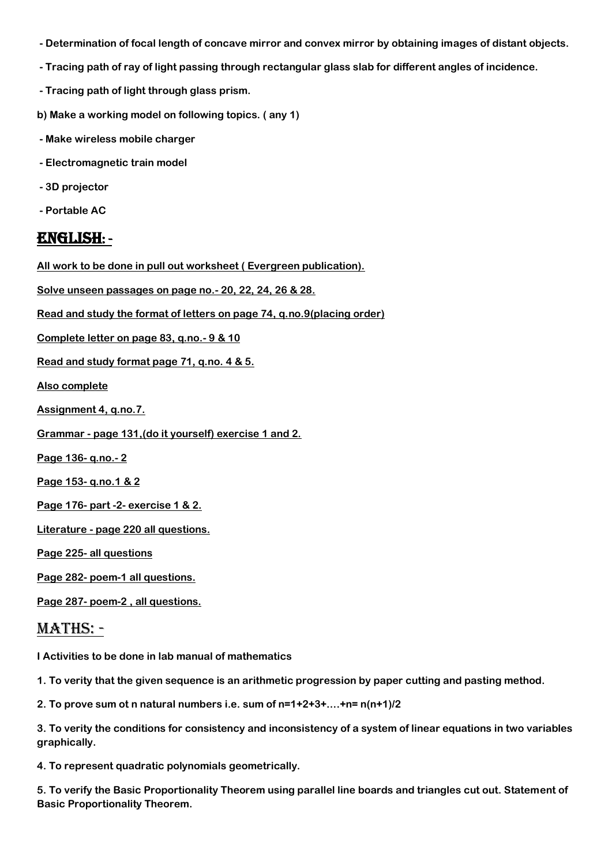- **- Determination of focal length of concave mirror and convex mirror by obtaining images of distant objects.**
- **- Tracing path of ray of light passing through rectangular glass slab for different angles of incidence.**
- **- Tracing path of light through glass prism.**
- **b) Make a working model on following topics. ( any 1)**
- **- Make wireless mobile charger**
- **- Electromagnetic train model**
- **- 3D projector**
- **- Portable AC**

#### English: -

**All work to be done in pull out worksheet ( Evergreen publication).**

**Solve unseen passages on page no.- 20, 22, 24, 26 & 28.**

**Read and study the format of letters on page 74, q.no.9(placing order)**

**Complete letter on page 83, q.no.- 9 & 10**

**Read and study format page 71, q.no. 4 & 5.**

**Also complete**

- **Assignment 4, q.no.7.**
- **Grammar - page 131,(do it yourself) exercise 1 and 2.**
- **Page 136- q.no.- 2**
- **Page 153- q.no.1 & 2**

**Page 176- part -2- exercise 1 & 2.**

**Literature - page 220 all questions.**

**Page 225- all questions**

**Page 282- poem-1 all questions.**

**Page 287- poem-2 , all questions.**

#### Maths: -

**I Activities to be done in lab manual of mathematics** 

**1. To verity that the given sequence is an arithmetic progression by paper cutting and pasting method.**

**2. To prove sum ot n natural numbers i.e. sum of n=1+2+3+....+n= n(n+1)/2**

**3. To verity the conditions for consistency and inconsistency of a system of linear equations in two variables graphically.** 

**4. To represent quadratic polynomials geometrically.**

**5. To verify the Basic Proportionality Theorem using parallel line boards and triangles cut out. Statement of Basic Proportionality Theorem.**